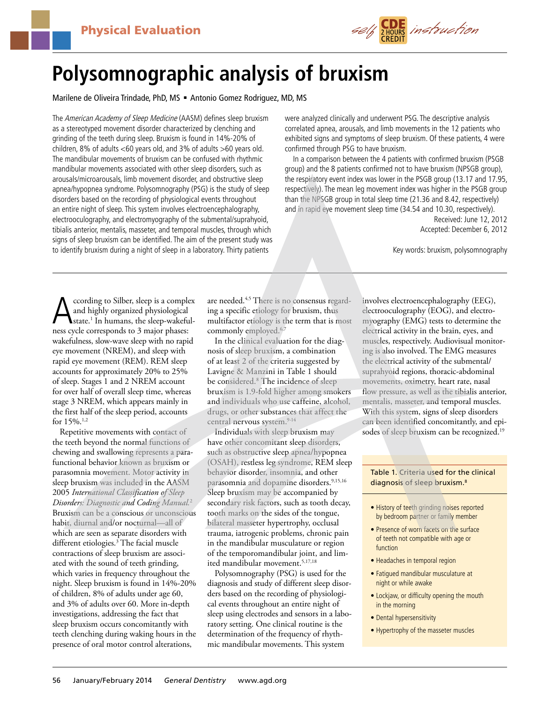

# **Polysomnographic analysis of bruxism**

Marilene de Oliveira Trindade, PhD, MS = Antonio Gomez Rodriguez, MD, MS

The American Academy of Sleep Medicine (AASM) defines sleep bruxism as a stereotyped movement disorder characterized by clenching and grinding of the teeth during sleep. Bruxism is found in 14%-20% of children, 8% of adults <60 years old, and 3% of adults >60 years old. The mandibular movements of bruxism can be confused with rhythmic mandibular movements associated with other sleep disorders, such as arousals/microarousals, limb movement disorder, and obstructive sleep apnea/hypopnea syndrome. Polysomnography (PSG) is the study of sleep disorders based on the recording of physiological events throughout an entire night of sleep. This system involves electroencephalography, electrooculography, and electromyography of the submental/suprahyoid, tibialis anterior, mentalis, masseter, and temporal muscles, through which signs of sleep bruxism can be identified. The aim of the present study was to identify bruxism during a night of sleep in a laboratory. Thirty patients

were analyzed clinically and underwent PSG. The descriptive analysis correlated apnea, arousals, and limb movements in the 12 patients who exhibited signs and symptoms of sleep bruxism. Of these patients, 4 were confirmed through PSG to have bruxism.

In a comparison between the 4 patients with confirmed bruxism (PSGB group) and the 8 patients confirmed not to have bruxism (NPSGB group), the respiratory event index was lower in the PSGB group (13.17 and 17.95, respectively). The mean leg movement index was higher in the PSGB group than the NPSGB group in total sleep time (21.36 and 8.42, respectively) and in rapid eye movement sleep time (34.54 and 10.30, respectively). Received: June 12, 2012

Accepted: December 6, 2012

Key words: bruxism, polysomnography

According to Silber, sleep is a complex<br>
and highly organized physiological<br>
state.<sup>1</sup> In humans, the sleep-wakeful-<br>
ness cycle corresponds to 3 major phases: and highly organized physiological ness cycle corresponds to 3 major phases: wakefulness, slow-wave sleep with no rapid eye movement (NREM), and sleep with rapid eye movement (REM). REM sleep accounts for approximately 20% to 25% of sleep. Stages 1 and 2 NREM account for over half of overall sleep time, whereas stage 3 NREM, which appears mainly in the first half of the sleep period, accounts for 15%.<sup>1,2</sup>

Repetitive movements with contact of the teeth beyond the normal functions of chewing and swallowing represents a parafunctional behavior known as bruxism or parasomnia movement. Motor activity in sleep bruxism was included in the AASM 2005 *International Classification of Sleep Disorders: Diagnostic and Coding Manual.*<sup>2</sup> Bruxism can be a conscious or unconscious habit, diurnal and/or nocturnal—all of which are seen as separate disorders with different etiologies.3 The facial muscle contractions of sleep bruxism are associated with the sound of teeth grinding, which varies in frequency throughout the night. Sleep bruxism is found in 14%-20% of children, 8% of adults under age 60, and 3% of adults over 60. More in-depth investigations, addressing the fact that sleep bruxism occurs concomitantly with teeth clenching during waking hours in the presence of oral motor control alterations,

are needed.<sup>4,5</sup> There is no consensus regarding a specific etiology for bruxism, thus multifactor etiology is the term that is most commonly employed.<sup>6,7</sup>

In the clinical evaluation for the diagnosis of sleep bruxism, a combination of at least 2 of the criteria suggested by Lavigne & Manzini in Table 1 should be considered.8 The incidence of sleep bruxism is 1.9-fold higher among smokers and individuals who use caffeine, alcohol, drugs, or other substances that affect the central nervous system.<sup>9-14</sup>

Individuals with sleep bruxism may have other concomitant sleep disorders, such as obstructive sleep apnea/hypopnea (OSAH), restless leg syndrome, REM sleep behavior disorder, insomnia, and other parasomnia and dopamine disorders.<sup>9,15,16</sup> Sleep bruxism may be accompanied by secondary risk factors, such as tooth decay, tooth marks on the sides of the tongue, bilateral masseter hypertrophy, occlusal trauma, iatrogenic problems, chronic pain in the mandibular musculature or region of the temporomandibular joint, and limited mandibular movement.5,17,18

Polysomnography (PSG) is used for the diagnosis and study of different sleep disorders based on the recording of physiological events throughout an entire night of sleep using electrodes and sensors in a laboratory setting. One clinical routine is the determination of the frequency of rhythmic mandibular movements. This system

involves electroencephalography (EEG), electrooculography (EOG), and electromyography (EMG) tests to determine the electrical activity in the brain, eyes, and muscles, respectively. Audiovisual monitoring is also involved. The EMG measures the electrical activity of the submental/ suprahyoid regions, thoracic-abdominal movements, oximetry, heart rate, nasal flow pressure, as well as the tibialis anterior, mentalis, masseter, and temporal muscles. With this system, signs of sleep disorders can been identified concomitantly, and episodes of sleep bruxism can be recognized.<sup>19</sup>

#### Table 1. Criteria used for the clinical diagnosis of sleep bruxism.<sup>8</sup>

- History of teeth grinding noises reported by bedroom partner or family member
- Presence of worn facets on the surface of teeth not compatible with age or function
- Headaches in temporal region
- Fatigued mandibular musculature at night or while awake
- Lockjaw, or difficulty opening the mouth in the morning
- Dental hypersensitivity
- Hypertrophy of the masseter muscles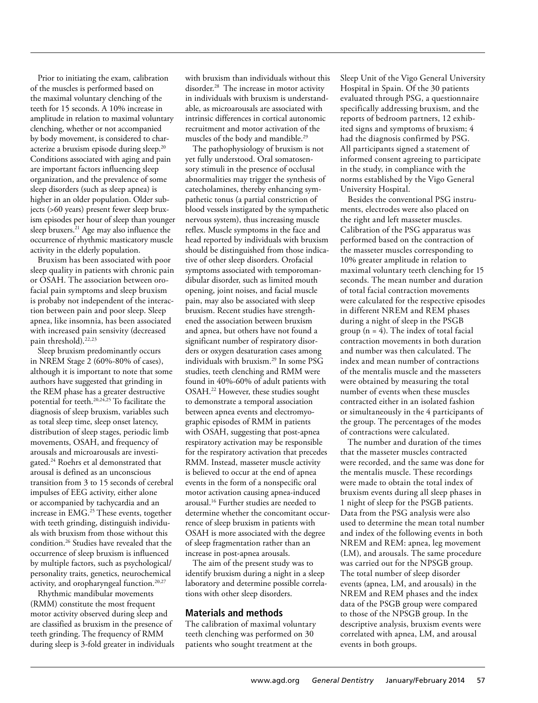Prior to initiating the exam, calibration of the muscles is performed based on the maximal voluntary clenching of the teeth for 15 seconds. A 10% increase in amplitude in relation to maximal voluntary clenching, whether or not accompanied by body movement, is considered to characterize a bruxism episode during sleep.20 Conditions associated with aging and pain are important factors influencing sleep organization, and the prevalence of some sleep disorders (such as sleep apnea) is higher in an older population. Older subjects (>60 years) present fewer sleep bruxism episodes per hour of sleep than younger sleep bruxers.<sup>21</sup> Age may also influence the occurrence of rhythmic masticatory muscle activity in the elderly population.

Bruxism has been associated with poor sleep quality in patients with chronic pain or OSAH. The association between orofacial pain symptoms and sleep bruxism is probaby not independent of the interaction between pain and poor sleep. Sleep apnea, like insomnia, has been associated with increased pain sensivity (decreased pain threshold).<sup>22,23</sup>

Sleep bruxism predominantly occurs in NREM Stage 2 (60%-80% of cases), although it is important to note that some authors have suggested that grinding in the REM phase has a greater destructive potential for teeth.20,24,25 To facilitate the diagnosis of sleep bruxism, variables such as total sleep time, sleep onset latency, distribution of sleep stages, periodic limb movements, OSAH, and frequency of arousals and microarousals are investigated.24 Roehrs et al demonstrated that arousal is defined as an unconscious transition from 3 to 15 seconds of cerebral impulses of EEG activity, either alone or accompanied by tachycardia and an increase in EMG.25 These events, together with teeth grinding, distinguish individuals with bruxism from those without this condition.26 Studies have revealed that the occurrence of sleep bruxism is influenced by multiple factors, such as psychological/ personality traits, genetics, neurochemical activity, and oropharyngeal function.20,27

Rhythmic mandibular movements (RMM) constitute the most frequent motor activity observed during sleep and are classified as bruxism in the presence of teeth grinding. The frequency of RMM during sleep is 3-fold greater in individuals with bruxism than individuals without this disorder.28 The increase in motor activity in individuals with bruxism is understandable, as microarousals are associated with intrinsic differences in cortical autonomic recruitment and motor activation of the muscles of the body and mandible.29

The pathophysiology of bruxism is not yet fully understood. Oral somatosensory stimuli in the presence of occlusal abnormalities may trigger the synthesis of catecholamines, thereby enhancing sympathetic tonus (a partial constriction of blood vessels instigated by the sympathetic nervous system), thus increasing muscle reflex. Muscle symptoms in the face and head reported by individuals with bruxism should be distinguished from those indicative of other sleep disorders. Orofacial symptoms associated with temporomandibular disorder, such as limited mouth opening, joint noises, and facial muscle pain, may also be associated with sleep bruxism. Recent studies have strengthened the association between bruxism and apnea, but others have not found a significant number of respiratory disorders or oxygen desaturation cases among individuals with bruxism.29 In some PSG studies, teeth clenching and RMM were found in 40%-60% of adult patients with OSAH.22 However, these studies sought to demonstrate a temporal association between apnea events and electromyographic episodes of RMM in patients with OSAH, suggesting that post-apnea respiratory activation may be responsible for the respiratory activation that precedes RMM. Instead, masseter muscle activity is believed to occur at the end of apnea events in the form of a nonspecific oral motor activation causing apnea-induced arousal.16 Further studies are needed to determine whether the concomitant occurrence of sleep bruxism in patients with OSAH is more associated with the degree of sleep fragmentation rather than an increase in post-apnea arousals.

The aim of the present study was to identify bruxism during a night in a sleep laboratory and determine possible correlations with other sleep disorders.

## **Materials and methods**

The calibration of maximal voluntary teeth clenching was performed on 30 patients who sought treatment at the

Sleep Unit of the Vigo General University Hospital in Spain. Of the 30 patients evaluated through PSG, a questionnaire specifically addressing bruxism, and the reports of bedroom partners, 12 exhibited signs and symptoms of bruxism; 4 had the diagnosis confirmed by PSG. All participants signed a statement of informed consent agreeing to participate in the study, in compliance with the norms established by the Vigo General University Hospital.

Besides the conventional PSG instruments, electrodes were also placed on the right and left masseter muscles. Calibration of the PSG apparatus was performed based on the contraction of the masseter muscles corresponding to 10% greater amplitude in relation to maximal voluntary teeth clenching for 15 seconds. The mean number and duration of total facial contraction movements were calculated for the respective episodes in different NREM and REM phases during a night of sleep in the PSGB group  $(n = 4)$ . The index of total facial contraction movements in both duration and number was then calculated. The index and mean number of contractions of the mentalis muscle and the masseters were obtained by measuring the total number of events when these muscles contracted either in an isolated fashion or simultaneously in the 4 participants of the group. The percentages of the modes of contractions were calculated.

The number and duration of the times that the masseter muscles contracted were recorded, and the same was done for the mentalis muscle. These recordings were made to obtain the total index of bruxism events during all sleep phases in 1 night of sleep for the PSGB patients. Data from the PSG analysis were also used to determine the mean total number and index of the following events in both NREM and REM: apnea, leg movement (LM), and arousals. The same procedure was carried out for the NPSGB group. The total number of sleep disorder events (apnea, LM, and arousals) in the NREM and REM phases and the index data of the PSGB group were compared to those of the NPSGB group. In the descriptive analysis, bruxism events were correlated with apnea, LM, and arousal events in both groups.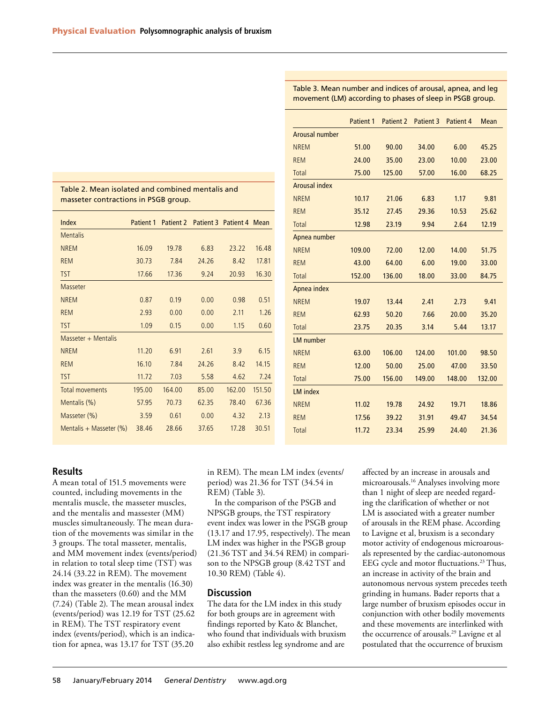|                      | <b>Patient 1</b> | Patient 2 | Patient 3 | Patient 4 | <b>Mean</b> |
|----------------------|------------------|-----------|-----------|-----------|-------------|
| Arousal number       |                  |           |           |           |             |
| <b>NREM</b>          | 51.00            | 90.00     | 34.00     | 6.00      | 45.25       |
| <b>REM</b>           | 24.00            | 35.00     | 23.00     | 10.00     | 23.00       |
| <b>Total</b>         | 75.00            | 125.00    | 57.00     | 16.00     | 68.25       |
| <b>Arousal index</b> |                  |           |           |           |             |
| <b>NREM</b>          | 10.17            | 21.06     | 6.83      | 1.17      | 9.81        |
| <b>REM</b>           | 35.12            | 27.45     | 29.36     | 10.53     | 25.62       |
| <b>Total</b>         | 12.98            | 23.19     | 9.94      | 2.64      | 12.19       |
| Apnea number         |                  |           |           |           |             |
| <b>NREM</b>          | 109.00           | 72.00     | 12.00     | 14.00     | 51.75       |
| <b>REM</b>           | 43.00            | 64.00     | 6.00      | 19.00     | 33.00       |
| <b>Total</b>         | 152.00           | 136.00    | 18.00     | 33.00     | 84.75       |
| Apnea index          |                  |           |           |           |             |
| <b>NREM</b>          | 19.07            | 13.44     | 2.41      | 2.73      | 9.41        |
| <b>REM</b>           | 62.93            | 50.20     | 7.66      | 20.00     | 35.20       |
| <b>Total</b>         | 23.75            | 20.35     | 3.14      | 5.44      | 13.17       |
| <b>LM</b> number     |                  |           |           |           |             |
| <b>NREM</b>          | 63.00            | 106.00    | 124.00    | 101.00    | 98.50       |
| <b>REM</b>           | 12.00            | 50.00     | 25.00     | 47.00     | 33.50       |
| <b>Total</b>         | 75.00            | 156.00    | 149.00    | 148.00    | 132.00      |
| <b>LM</b> index      |                  |           |           |           |             |
| <b>NREM</b>          | 11.02            | 19.78     | 24.92     | 19.71     | 18.86       |
| <b>REM</b>           | 17.56            | 39.22     | 31.91     | 49.47     | 34.54       |
| <b>Total</b>         | 11.72            | 23.34     | 25.99     | 24.40     | 21.36       |
|                      |                  |           |           |           |             |

Table 3. Mean number and indices of arousal, apnea, and leg movement (LM) according to phases of sleep in PSGB group.

Table 2. Mean isolated and combined mentalis and masseter contractions in PSGB group.

| Index                      | Patient 1 | Patient 2 Patient 3 Patient 4 Mean |       |        |        |
|----------------------------|-----------|------------------------------------|-------|--------|--------|
| <b>Mentalis</b>            |           |                                    |       |        |        |
| <b>NREM</b>                | 16.09     | 19.78                              | 6.83  | 23.22  | 16.48  |
| <b>REM</b>                 | 30.73     | 7.84                               | 24.26 | 8.42   | 17.81  |
| <b>TST</b>                 | 17.66     | 17.36                              | 9.24  | 20.93  | 16.30  |
| Masseter                   |           |                                    |       |        |        |
| <b>NREM</b>                | 0.87      | 0.19                               | 0.00  | 0.98   | 0.51   |
| <b>REM</b>                 | 2.93      | 0.00                               | 0.00  | 2.11   | 1.26   |
| <b>TST</b>                 | 1.09      | 0.15                               | 0.00  | 1.15   | 0.60   |
| Masseter + Mentalis        |           |                                    |       |        |        |
| <b>NREM</b>                | 11.20     | 6.91                               | 2.61  | 3.9    | 6.15   |
| <b>REM</b>                 | 16.10     | 7.84                               | 24.26 | 8.42   | 14.15  |
| <b>TST</b>                 | 11.72     | 7.03                               | 5.58  | 4.62   | 7.24   |
| <b>Total movements</b>     | 195.00    | 164.00                             | 85.00 | 162.00 | 151.50 |
| Mentalis (%)               | 57.95     | 70.73                              | 62.35 | 78.40  | 67.36  |
| Masseter (%)               | 3.59      | 0.61                               | 0.00  | 4.32   | 2.13   |
| Mentalis + Masseter $(\%)$ | 38.46     | 28.66                              | 37.65 | 17.28  | 30.51  |
|                            |           |                                    |       |        |        |

| <b>Results</b> |  |
|----------------|--|
|                |  |

A mean total of 151.5 movements were counted, including movements in the mentalis muscle, the masseter muscles, and the mentalis and massester (MM) muscles simultaneously. The mean duration of the movements was similar in the 3 groups. The total masseter, mentalis, and MM movement index (events/period) in relation to total sleep time (TST) was 24.14 (33.22 in REM). The movement index was greater in the mentalis (16.30) than the masseters (0.60) and the MM (7.24) (Table 2). The mean arousal index (events/period) was 12.19 for TST (25.62 in REM). The TST respiratory event index (events/period), which is an indication for apnea, was 13.17 for TST (35.20

in REM). The mean LM index (events/ period) was 21.36 for TST (34.54 in REM) (Table 3).

In the comparison of the PSGB and NPSGB groups, the TST respiratory event index was lower in the PSGB group (13.17 and 17.95, respectively). The mean LM index was higher in the PSGB group (21.36 TST and 34.54 REM) in comparison to the NPSGB group (8.42 TST and 10.30 REM) (Table 4).

#### **Discussion**

The data for the LM index in this study for both groups are in agreement with findings reported by Kato & Blanchet, who found that individuals with bruxism also exhibit restless leg syndrome and are

affected by an increase in arousals and microarousals.16 Analyses involving more than 1 night of sleep are needed regarding the clarification of whether or not LM is associated with a greater number of arousals in the REM phase. According to Lavigne et al, bruxism is a secondary motor activity of endogenous microarousals represented by the cardiac-autonomous EEG cycle and motor fluctuations.<sup>23</sup> Thus, an increase in activity of the brain and autonomous nervous system precedes teeth grinding in humans. Bader reports that a large number of bruxism episodes occur in conjunction with other bodily movements and these movements are interlinked with the occurrence of arousals.<sup>29</sup> Lavigne et al postulated that the occurrence of bruxism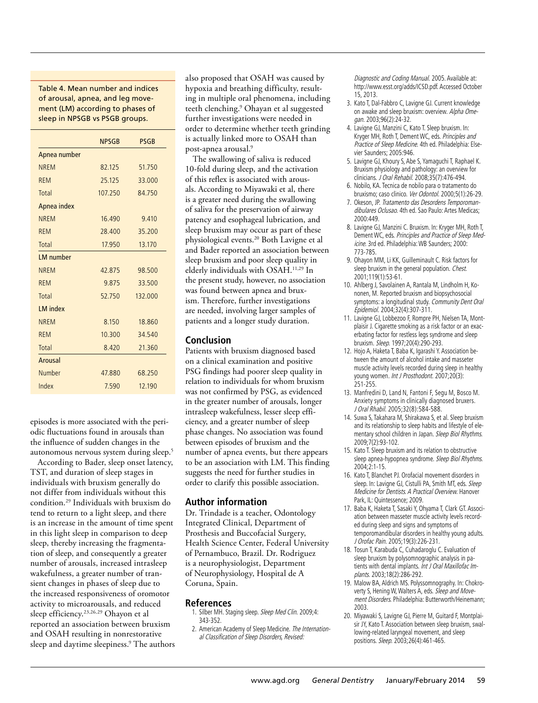Table 4. Mean number and indices of arousal, apnea, and leg movement (LM) according to phases of sleep in NPSGB vs PSGB groups.

|                  | <b>NPSGB</b> | <b>PSGB</b> |
|------------------|--------------|-------------|
|                  |              |             |
| Apnea number     |              |             |
| <b>NREM</b>      | 82.125       | 51.750      |
| <b>REM</b>       | 25.125       | 33.000      |
| Total            | 107.250      | 84.750      |
| Apnea index      |              |             |
| <b>NREM</b>      | 16.490       | 9.410       |
| <b>REM</b>       | 28.400       | 35.200      |
| Total            | 17.950       | 13.170      |
| <b>LM</b> number |              |             |
| <b>NREM</b>      | 42.875       | 98.500      |
| <b>REM</b>       | 9.875        | 33.500      |
| Total            | 52.750       | 132,000     |
| <b>LM</b> index  |              |             |
| <b>NREM</b>      | 8.150        | 18.860      |
| <b>REM</b>       | 10.300       | 34.540      |
| <b>Total</b>     | 8.420        | 21.360      |
| Arousal          |              |             |
| Number           | 47.880       | 68.250      |
| Index            | 7.590        | 12.190      |

episodes is more associated with the periodic fluctuations found in arousals than the influence of sudden changes in the autonomous nervous system during sleep.5

According to Bader, sleep onset latency, TST, and duration of sleep stages in individuals with bruxism generally do not differ from individuals without this condition.29 Individuals with bruxism do tend to return to a light sleep, and there is an increase in the amount of time spent in this light sleep in comparison to deep sleep, thereby increasing the fragmentation of sleep, and consequently a greater number of arousals, increased intrasleep wakefulness, a greater number of transient changes in phases of sleep due to the increased responsiveness of oromotor activity to microarousals, and reduced sleep efficiency.23,26,29 Ohayon et al reported an association between bruxism and OSAH resulting in nonrestorative sleep and daytime sleepiness.9 The authors also proposed that OSAH was caused by hypoxia and breathing difficulty, resulting in multiple oral phenomena, including teeth clenching.9 Ohayan et al suggested further investigations were needed in order to determine whether teeth grinding is actually linked more to OSAH than post-apnea arousal.9

The swallowing of saliva is reduced 10-fold during sleep, and the activation of this reflex is associated with arousals. According to Miyawaki et al, there is a greater need during the swallowing of saliva for the preservation of airway patency and esophageal lubrication, and sleep bruxism may occur as part of these physiological events.20 Both Lavigne et al and Bader reported an association between sleep bruxism and poor sleep quality in elderly individuals with OSAH.11,29 In the present study, however, no association was found between apnea and bruxism. Therefore, further investigations are needed, involving larger samples of patients and a longer study duration.

### **Conclusion**

Patients with bruxism diagnosed based on a clinical examination and positive PSG findings had poorer sleep quality in relation to individuals for whom bruxism was not confirmed by PSG, as evidenced in the greater number of arousals, longer intrasleep wakefulness, lesser sleep efficiency, and a greater number of sleep phase changes. No association was found between episodes of bruxism and the number of apnea events, but there appears to be an association with LM. This finding suggests the need for further studies in order to clarify this possible association.

## **Author information**

Dr. Trindade is a teacher, Odontology Integrated Clinical, Department of Prosthesis and Buccofacial Surgery, Health Science Center, Federal University of Pernambuco, Brazil. Dr. Rodriguez is a neurophysiologist, Department of Neurophysiology, Hospital de A Coruna, Spain.

## **References**

- 1. Silber MH. Staging sleep. Sleep Med Clin. 2009;4: 343-352.
- 2. American Academy of Sleep Medicine. The International Classification of Sleep Disorders, Revised:

Diagnostic and Coding Manual. 2005. Available at: http://www.esst.org/adds/ICSD.pdf. Accessed October 15, 2013.

- 3. Kato T, Dal-Fabbro C, Lavigne GJ. Current knowledge on awake and sleep bruxism: overview. Alpha Omegan. 2003;96(2):24-32.
- 4. Lavigne GJ, Manzini C, Kato T. Sleep bruxism. In: Kryger MH, Roth T, Dement WC, eds. Principles and Practice of Sleep Medicine. 4th ed. Philadelphia: Elsevier Saunders; 2005:946.
- 5. Lavigne GJ, Khoury S, Abe S, Yamaguchi T, Raphael K. Bruxism physiology and pathology: an overview for clinicians. J Oral Rehabil. 2008;35(7):476-494.
- 6. Nobilo, KA. Tecnica de nobilo para o tratamento do bruxismo; caso clinico. Ver Odontol. 2000;5(1):26-29.
- 7. Okeson, JP. Tratamento das Desordens Temporomandibulares Oclusao. 4th ed. Sao Paulo: Artes Medicas; 2000:449.
- 8. Lavigne GJ, Manzini C. Bruxism. In: Kryger MH, Roth T, Dement WC, eds. Principles and Practice of Sleep Medicine. 3rd ed. Philadelphia: WB Saunders; 2000: 773-785.
- 9. Ohayon MM, Li KK, Guilleminault C. Risk factors for sleep bruxism in the general population. Chest. 2001;119(1):53-61.
- 10. Ahlberg J, Savolainen A, Rantala M, Lindholm H, Kononen, M. Reported bruxism and biopsychosocial symptoms: a longitudinal study. Community Dent Oral Epidemiol. 2004;32(4):307-311.
- 11. Lavigne GJ, Lobbezoo F, Rompre PH, Nielsen TA, Montplaisir J. Cigarette smoking as a risk factor or an exacerbating factor for restless legs syndrome and sleep bruxism. Sleep. 1997;20(4):290-293.
- 12. Hojo A, Haketa T, Baba K, Igarashi Y. Association between the amount of alcohol intake and masseter muscle activity levels recorded during sleep in healthy young women. Int J Prosthodont. 2007;20(3): 251-255.
- 13. Manfredini D, Land N, Fantoni F, Segu M, Bosco M. Anxiety symptoms in clinically diagnosed bruxers. J Oral Rhabil. 2005;32(8):584-588.
- 14. Suwa S, Takahara M, Shirakawa S, et al. Sleep bruxism and its relationship to sleep habits and lifestyle of elementary school children in Japan. Sleep Biol Rhythms. 2009;7(2):93-102.
- 15. Kato T. Sleep bruxism and its relation to obstructive sleep apnea-hypopnea syndrome. Sleep Biol Rhythms. 2004;2:1-15.
- 16. Kato T, Blanchet PJ. Orofacial movement disorders in sleep. In: Lavigne GJ, Cistulli PA, Smith MT, eds. Sleep Medicine for Dentists. A Practical Overview. Hanover Park, IL: Quintessence; 2009.
- 17. Baba K, Haketa T, Sasaki Y, Ohyama T, Clark GT. Association between masseter muscle activity levels recorded during sleep and signs and symptoms of temporomandibular disorders in healthy young adults. J Orofac Pain. 2005;19(3):226-231.
- 18. Tosun T, Karabuda C, Cuhadaroglu C. Evaluation of sleep bruxism by polysomnographic analysis in patients with dental implants. Int J Oral Maxillofac Implants. 2003;18(2):286-292.
- 19. Malow BA, Aldrich MS. Polyssomnography. In: Chokroverty S, Hening W, Walters A, eds. Sleep and Movement Disorders. Philadelphia: Butterworth/Heinemann; 2003.
- 20. Miyawaki S, Lavigne GJ, Pierre M, Guitard F, Montplaisir JY, Kato T. Association between sleep bruxism, swallowing-related laryngeal movement, and sleep positions. Sleep. 2003;26(4):461-465.